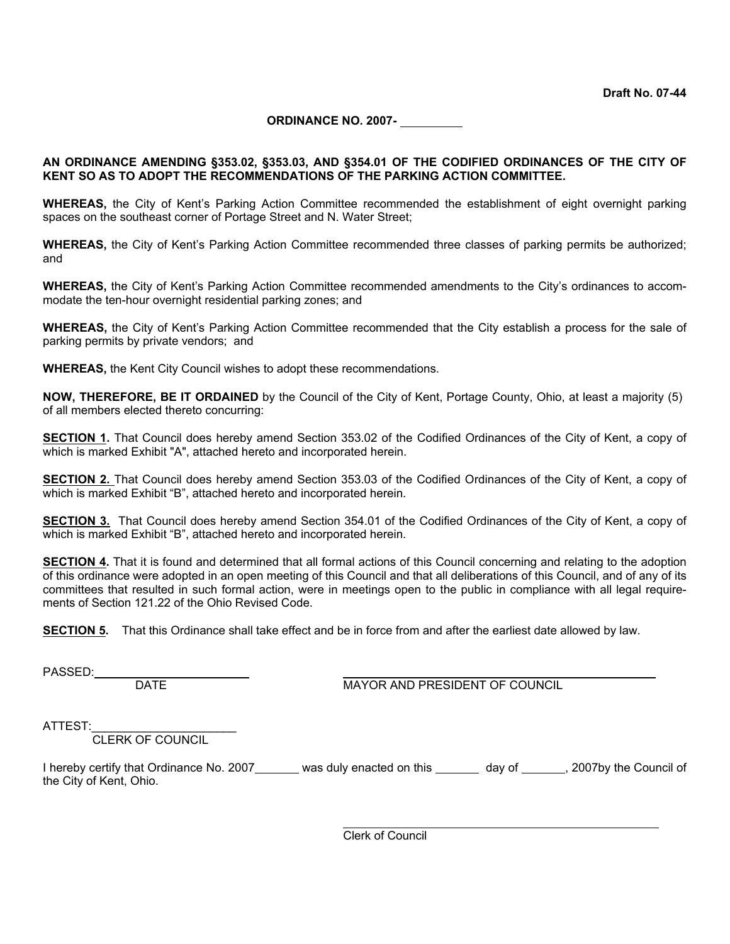**ORDINANCE NO. 2007-** 

#### **AN ORDINANCE AMENDING §353.02, §353.03, AND §354.01 OF THE CODIFIED ORDINANCES OF THE CITY OF KENT SO AS TO ADOPT THE RECOMMENDATIONS OF THE PARKING ACTION COMMITTEE.**

**WHEREAS,** the City of Kent's Parking Action Committee recommended the establishment of eight overnight parking spaces on the southeast corner of Portage Street and N. Water Street;

**WHEREAS,** the City of Kent's Parking Action Committee recommended three classes of parking permits be authorized; and

**WHEREAS,** the City of Kent's Parking Action Committee recommended amendments to the City's ordinances to accommodate the ten-hour overnight residential parking zones; and

**WHEREAS,** the City of Kent's Parking Action Committee recommended that the City establish a process for the sale of parking permits by private vendors; and

**WHEREAS,** the Kent City Council wishes to adopt these recommendations.

**NOW, THEREFORE, BE IT ORDAINED** by the Council of the City of Kent, Portage County, Ohio, at least a majority (5) of all members elected thereto concurring:

**SECTION 1.** That Council does hereby amend Section 353.02 of the Codified Ordinances of the City of Kent, a copy of which is marked Exhibit "A", attached hereto and incorporated herein.

**SECTION 2.** That Council does hereby amend Section 353.03 of the Codified Ordinances of the City of Kent, a copy of which is marked Exhibit "B", attached hereto and incorporated herein.

**SECTION 3.** That Council does hereby amend Section 354.01 of the Codified Ordinances of the City of Kent, a copy of which is marked Exhibit "B", attached hereto and incorporated herein.

**SECTION 4.** That it is found and determined that all formal actions of this Council concerning and relating to the adoption of this ordinance were adopted in an open meeting of this Council and that all deliberations of this Council, and of any of its committees that resulted in such formal action, were in meetings open to the public in compliance with all legal requirements of Section 121.22 of the Ohio Revised Code.

**SECTION 5.** That this Ordinance shall take effect and be in force from and after the earliest date allowed by law.

PASSED:

DATE MAYOR AND PRESIDENT OF COUNCIL

ATTEST:

CLERK OF COUNCIL

I hereby certify that Ordinance No. 2007\_\_\_\_\_\_ was duly enacted on this \_\_\_\_\_\_ day of \_\_\_\_\_, 2007by the Council of the City of Kent, Ohio.

 $\overline{a}$ 

Clerk of Council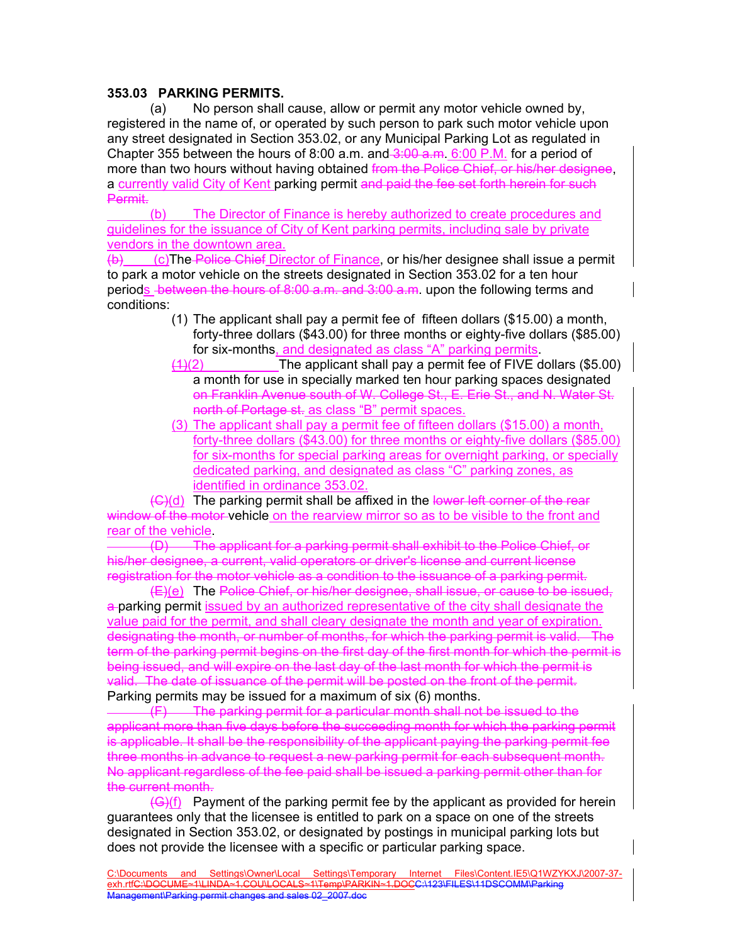# **353.03 PARKING PERMITS.**

 (a) No person shall cause, allow or permit any motor vehicle owned by, registered in the name of, or operated by such person to park such motor vehicle upon any street designated in Section 353.02, or any Municipal Parking Lot as regulated in Chapter 355 between the hours of 8:00 a.m. and  $-3:00$  a.m. 6:00 P.M. for a period of more than two hours without having obtained from the Police Chief, or his/her designee, a currently valid City of Kent parking permit and paid the fee set forth herein for such Permit.

 (b) The Director of Finance is hereby authorized to create procedures and guidelines for the issuance of City of Kent parking permits, including sale by private vendors in the downtown area.

(b) (c)The Police Chief Director of Finance, or his/her designee shall issue a permit to park a motor vehicle on the streets designated in Section 353.02 for a ten hour periods between the hours of 8:00 a.m. and 3:00 a.m. upon the following terms and conditions:

- (1) The applicant shall pay a permit fee of fifteen dollars (\$15.00) a month, forty-three dollars (\$43.00) for three months or eighty-five dollars (\$85.00) for six-months, and designated as class "A" parking permits.
- $(4)(2)$  The applicant shall pay a permit fee of FIVE dollars (\$5.00) a month for use in specially marked ten hour parking spaces designated on Franklin Avenue south of W. College St., E. Erie St., and N. Water St. north of Portage st. as class "B" permit spaces.
- (3) The applicant shall pay a permit fee of fifteen dollars (\$15.00) a month, forty-three dollars (\$43.00) for three months or eighty-five dollars (\$85.00) for six-months for special parking areas for overnight parking, or specially dedicated parking, and designated as class "C" parking zones, as identified in ordinance 353.02.

(G)(d) The parking permit shall be affixed in the lower left corner of the rear window of the motor-vehicle on the rearview mirror so as to be visible to the front and rear of the vehicle.

(D) The applicant for a parking permit shall exhibit to the Police Chief, or his/her designee, a current, valid operators or driver's license and current license registration for the motor vehicle as a condition to the issuance of a parking permit.

(E)(e) The Police Chief, or his/her designee, shall issue, or cause to be issued, a-parking permit issued by an authorized representative of the city shall designate the value paid for the permit, and shall cleary designate the month and year of expiration. designating the month, or number of months, for which the parking permit is valid. The term of the parking permit begins on the first day of the first month for which the permit is being issued, and will expire on the last day of the last month for which the permit is valid. The date of issuance of the permit will be posted on the front of the permit. Parking permits may be issued for a maximum of six (6) months.

(F) The parking permit for a particular month shall not be issued to the applicant more than five days before the succeeding month for which the parking permit is applicable. It shall be the responsibility of the applicant paying the parking permit fee three months in advance to request a new parking permit for each subsequent month. No applicant regardless of the fee paid shall be issued a parking permit other than for the current month.

 $(\mathsf{G}(f))$  Payment of the parking permit fee by the applicant as provided for herein guarantees only that the licensee is entitled to park on a space on one of the streets designated in Section 353.02, or designated by postings in municipal parking lots but does not provide the licensee with a specific or particular parking space.